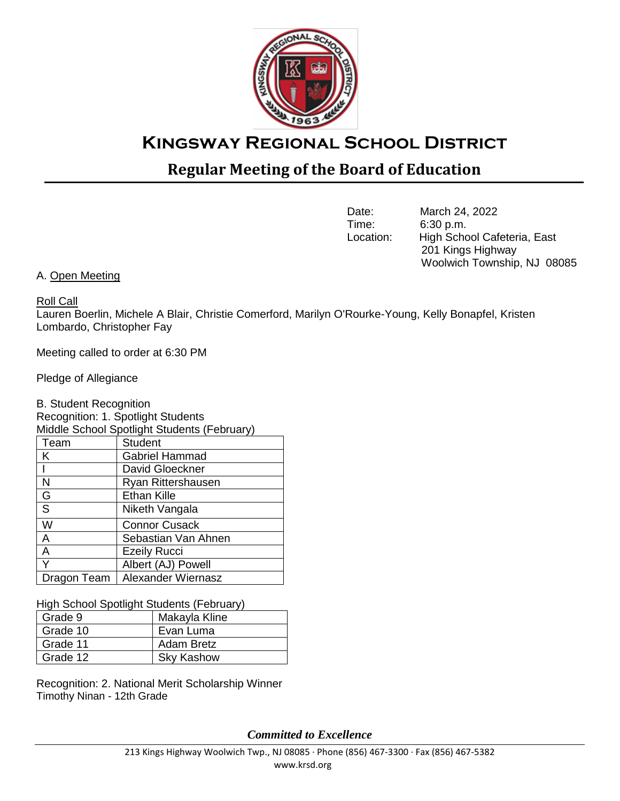

# **Kingsway Regional School District**

## **Regular Meeting of the Board of Education**

Date: March 24, 2022<br>Time: 6:30 p.m.  $6:30$  p.m. Location: High School Cafeteria, East 201 Kings Highway Woolwich Township, NJ 08085

A. Open Meeting

Roll Call

Lauren Boerlin, Michele A Blair, Christie Comerford, Marilyn O'Rourke-Young, Kelly Bonapfel, Kristen Lombardo, Christopher Fay

Meeting called to order at 6:30 PM

Pledge of Allegiance

B. Student Recognition Recognition: 1. Spotlight Students Middle School Spotlight Students (February) Team | Student K **Gabriel Hammad** David Gloeckner N Ryan Rittershausen G **Ethan Kille** S Niketh Vangala W Connor Cusack A Sebastian Van Ahnen A **Ezeily Rucci** Y Albert (AJ) Powell Dragon Team | Alexander Wiernasz

High School Spotlight Students (February)

| Grade 9  | Makayla Kline     |
|----------|-------------------|
| Grade 10 | Evan Luma         |
| Grade 11 | <b>Adam Bretz</b> |
| Grade 12 | <b>Sky Kashow</b> |

Recognition: 2. National Merit Scholarship Winner Timothy Ninan - 12th Grade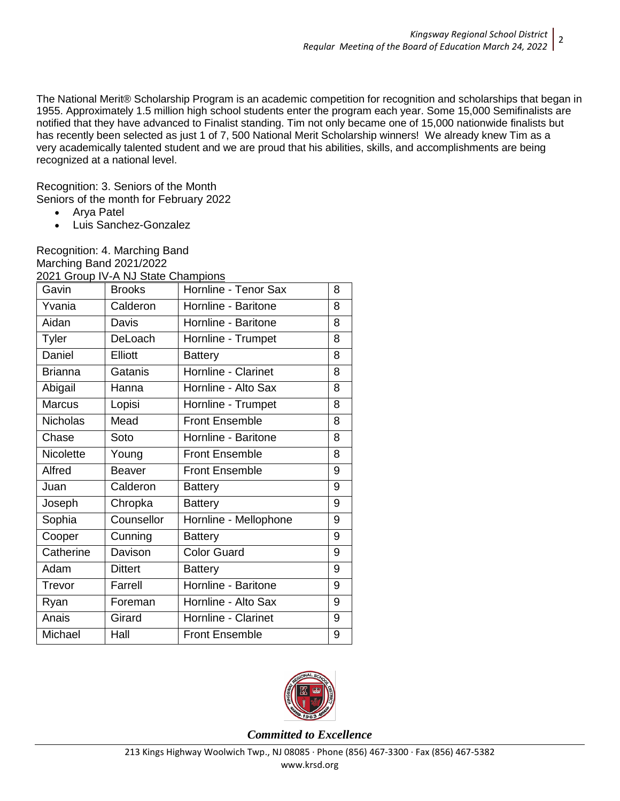The National Merit® Scholarship Program is an academic competition for recognition and scholarships that began in 1955. Approximately 1.5 million high school students enter the program each year. Some 15,000 Semifinalists are notified that they have advanced to Finalist standing. Tim not only became one of 15,000 nationwide finalists but has recently been selected as just 1 of 7, 500 National Merit Scholarship winners! We already knew Tim as a very academically talented student and we are proud that his abilities, skills, and accomplishments are being recognized at a national level.

Recognition: 3. Seniors of the Month Seniors of the month for February 2022

- Arya Patel
- Luis Sanchez-Gonzalez

Recognition: 4. Marching Band Marching Band 2021/2022 [2021 Group IV-A NJ State Champions](https://newtownpress.com/2022/01/06/kingsway-marching-band-wins-state-championship/?fbclid=IwAR34OdzFjZ9ECSKTyBPjC5MPgT_Fs3NluydvlOTQqu9ftJMoleNH-SoxXXQ)

| Gavin           | <b>Brooks</b>  | Hornline - Tenor Sax  | 8 |
|-----------------|----------------|-----------------------|---|
| Yvania          | Calderon       | Hornline - Baritone   | 8 |
| Aidan           | <b>Davis</b>   | Hornline - Baritone   | 8 |
| Tyler           | DeLoach        | Hornline - Trumpet    | 8 |
| Daniel          | <b>Elliott</b> | <b>Battery</b>        | 8 |
| <b>Brianna</b>  | Gatanis        | Hornline - Clarinet   | 8 |
| Abigail         | Hanna          | Hornline - Alto Sax   | 8 |
| <b>Marcus</b>   | Lopisi         | Hornline - Trumpet    | 8 |
| <b>Nicholas</b> | Mead           | <b>Front Ensemble</b> | 8 |
| Chase           | Soto           | Hornline - Baritone   | 8 |
| Nicolette       | Young          | <b>Front Ensemble</b> | 8 |
| Alfred          | <b>Beaver</b>  | <b>Front Ensemble</b> | 9 |
| Juan            | Calderon       | <b>Battery</b>        | 9 |
| Joseph          | Chropka        | <b>Battery</b>        | 9 |
| Sophia          | Counsellor     | Hornline - Mellophone | 9 |
| Cooper          | Cunning        | <b>Battery</b>        | 9 |
| Catherine       | Davison        | <b>Color Guard</b>    | 9 |
| Adam            | <b>Dittert</b> | <b>Battery</b>        | 9 |
| Trevor          | Farrell        | Hornline - Baritone   | 9 |
| Ryan            | Foreman        | Hornline - Alto Sax   | 9 |
| Anais           | Girard         | Hornline - Clarinet   | 9 |
| Michael         | Hall           | <b>Front Ensemble</b> | 9 |

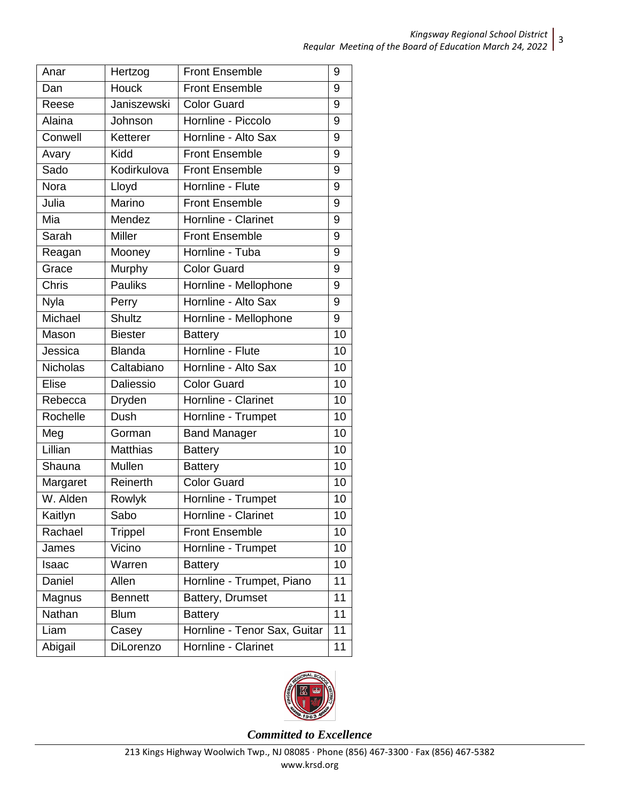| Anar            | Hertzog         | <b>Front Ensemble</b>        |    |  |  |
|-----------------|-----------------|------------------------------|----|--|--|
| Dan             | Houck           | <b>Front Ensemble</b>        | 9  |  |  |
| Reese           | Janiszewski     | <b>Color Guard</b>           | 9  |  |  |
| Alaina          | Johnson         | Hornline - Piccolo           | 9  |  |  |
| Conwell         | Ketterer        | Hornline - Alto Sax          | 9  |  |  |
| Avary           | Kidd            | <b>Front Ensemble</b>        | 9  |  |  |
| Sado            | Kodirkulova     | <b>Front Ensemble</b>        | 9  |  |  |
| <b>Nora</b>     | Lloyd           | Hornline - Flute             | 9  |  |  |
| Julia           | Marino          | <b>Front Ensemble</b>        | 9  |  |  |
| Mia             | Mendez          | Hornline - Clarinet          | 9  |  |  |
| Sarah           | <b>Miller</b>   | <b>Front Ensemble</b>        | 9  |  |  |
| Reagan          | Mooney          | Hornline - Tuba              | 9  |  |  |
| Grace           | Murphy          | <b>Color Guard</b>           | 9  |  |  |
| Chris           | <b>Pauliks</b>  | Hornline - Mellophone        | 9  |  |  |
| <b>Nyla</b>     | Perry           | Hornline - Alto Sax          | 9  |  |  |
| Michael         | Shultz          | Hornline - Mellophone        |    |  |  |
| Mason           | <b>Biester</b>  | <b>Battery</b>               |    |  |  |
| Jessica         | <b>Blanda</b>   | Hornline - Flute             |    |  |  |
| <b>Nicholas</b> | Caltabiano      | Hornline - Alto Sax          |    |  |  |
| Elise           | Daliessio       | <b>Color Guard</b>           |    |  |  |
| Rebecca         | Dryden          | Hornline - Clarinet          |    |  |  |
| Rochelle        | Dush            | Hornline - Trumpet           | 10 |  |  |
| Meg             | Gorman          | <b>Band Manager</b>          | 10 |  |  |
| Lillian         | <b>Matthias</b> | <b>Battery</b>               | 10 |  |  |
| Shauna          | Mullen          | <b>Battery</b>               | 10 |  |  |
| Margaret        | Reinerth        | <b>Color Guard</b>           | 10 |  |  |
| W. Alden        | Rowlyk          | Hornline - Trumpet           | 10 |  |  |
| Kaitlyn         | Sabo            | Hornline - Clarinet          | 10 |  |  |
| Rachael         | <b>Trippel</b>  | <b>Front Ensemble</b>        | 10 |  |  |
| James           | Vicino          | Hornline - Trumpet           | 10 |  |  |
| Isaac           | Warren          | <b>Battery</b>               | 10 |  |  |
| Daniel          | Allen           | Hornline - Trumpet, Piano    | 11 |  |  |
| Magnus          | <b>Bennett</b>  | Battery, Drumset             | 11 |  |  |
| Nathan          | <b>Blum</b>     | <b>Battery</b>               | 11 |  |  |
| Liam            | Casey           | Hornline - Tenor Sax, Guitar | 11 |  |  |
| Abigail         | DiLorenzo       | Hornline - Clarinet          |    |  |  |

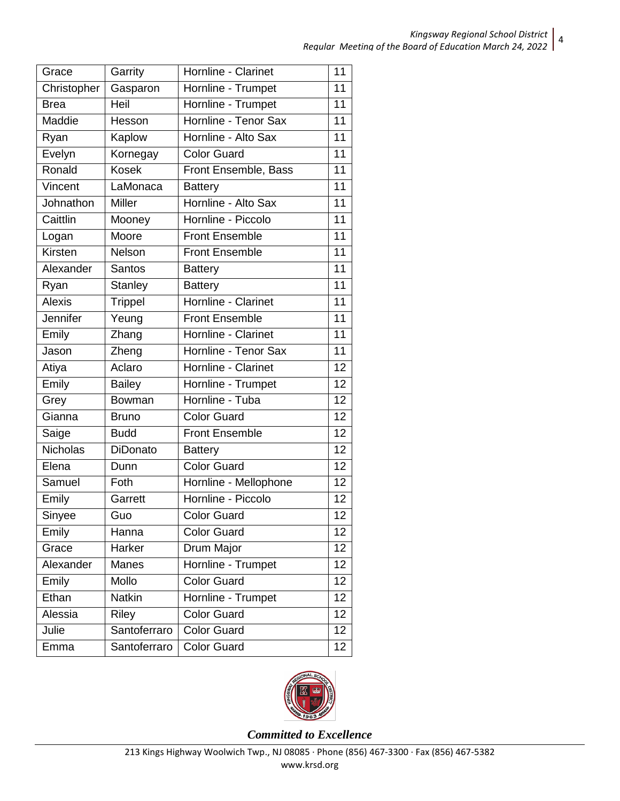| Grace           | Garrity        | Hornline - Clarinet   | 11              |
|-----------------|----------------|-----------------------|-----------------|
| Christopher     | Gasparon       | Hornline - Trumpet    | 11              |
| <b>Brea</b>     | Heil           | Hornline - Trumpet    | 11              |
| Maddie          | Hesson         | Hornline - Tenor Sax  | 11              |
| Ryan            | Kaplow         | Hornline - Alto Sax   | 11              |
| Evelyn          | Kornegay       | <b>Color Guard</b>    | 11              |
| Ronald          | <b>Kosek</b>   | Front Ensemble, Bass  | 11              |
| Vincent         | LaMonaca       | <b>Battery</b>        | 11              |
| Johnathon       | <b>Miller</b>  | Hornline - Alto Sax   | 11              |
| Caittlin        | Mooney         | Hornline - Piccolo    | 11              |
| Logan           | Moore          | <b>Front Ensemble</b> | $\overline{11}$ |
| Kirsten         | Nelson         | <b>Front Ensemble</b> | 11              |
| Alexander       | <b>Santos</b>  | <b>Battery</b>        | 11              |
| Ryan            | <b>Stanley</b> | <b>Battery</b>        | $\overline{11}$ |
| <b>Alexis</b>   | Trippel        | Hornline - Clarinet   | 11              |
| Jennifer        | Yeung          | <b>Front Ensemble</b> | 11              |
| Emily           | Zhang          | Hornline - Clarinet   |                 |
| Jason           | Zheng          | Hornline - Tenor Sax  | 11              |
| Atiya           | Aclaro         | Hornline - Clarinet   | 12              |
| Emily           | <b>Bailey</b>  | Hornline - Trumpet    |                 |
| Grey            | Bowman         | Hornline - Tuba       |                 |
| Gianna          | <b>Bruno</b>   | <b>Color Guard</b>    |                 |
| Saige           | <b>Budd</b>    | <b>Front Ensemble</b> | 12              |
| <b>Nicholas</b> | DiDonato       | <b>Battery</b>        | 12              |
| Elena           | Dunn           | Color Guard           | 12              |
| Samuel          | Foth           | Hornline - Mellophone | $\overline{1}2$ |
| Emily           | Garrett        | Hornline - Piccolo    | 12              |
| Sinyee          | Guo            | <b>Color Guard</b>    | 12              |
| Emily           | Hanna          | <b>Color Guard</b>    | 12              |
| Grace           | Harker         | Drum Major            | 12              |
| Alexander       | Manes          | Hornline - Trumpet    | 12              |
| Emily           | Mollo          | Color Guard           | 12              |
| Ethan           | <b>Natkin</b>  | Hornline - Trumpet    | 12              |
| Alessia         | Riley          | <b>Color Guard</b>    | 12              |
| Julie           | Santoferraro   | <b>Color Guard</b>    | 12              |
| Emma            | Santoferraro   | <b>Color Guard</b>    | 12              |

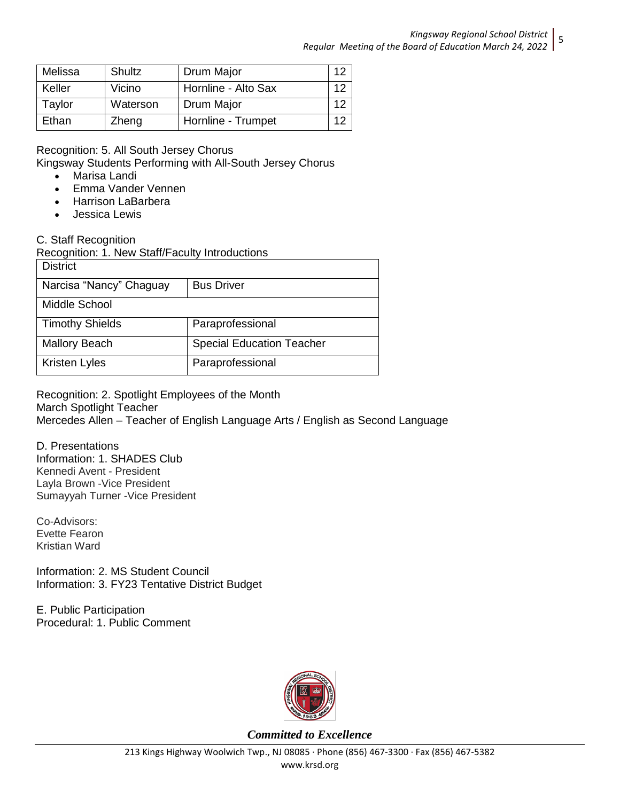| Melissa | Shultz   | Drum Major          | 12 |
|---------|----------|---------------------|----|
| Keller  | Vicino   | Hornline - Alto Sax | 12 |
| Taylor  | Waterson | Drum Major          | 12 |
| Ethan   | Zheng    | Hornline - Trumpet  | 12 |

Recognition: 5. All South Jersey Chorus

Kingsway Students Performing with All-South Jersey Chorus

- Marisa Landi
- Emma Vander Vennen
- Harrison LaBarbera
- Jessica Lewis

### C. Staff Recognition

Recognition: 1. New Staff/Faculty Introductions

| <b>District</b>         |                                  |
|-------------------------|----------------------------------|
| Narcisa "Nancy" Chaguay | <b>Bus Driver</b>                |
| Middle School           |                                  |
| <b>Timothy Shields</b>  | Paraprofessional                 |
| <b>Mallory Beach</b>    | <b>Special Education Teacher</b> |
| Kristen Lyles           | Paraprofessional                 |

Recognition: 2. Spotlight Employees of the Month March Spotlight Teacher Mercedes Allen – Teacher of English Language Arts / English as Second Language

D. Presentations Information: 1. SHADES Club Kennedi Avent - President Layla Brown -Vice President Sumayyah Turner -Vice President

Co-Advisors: Evette Fearon Kristian Ward

Information: 2. MS Student Council Information: 3. FY23 Tentative District Budget

E. Public Participation Procedural: 1. Public Comment

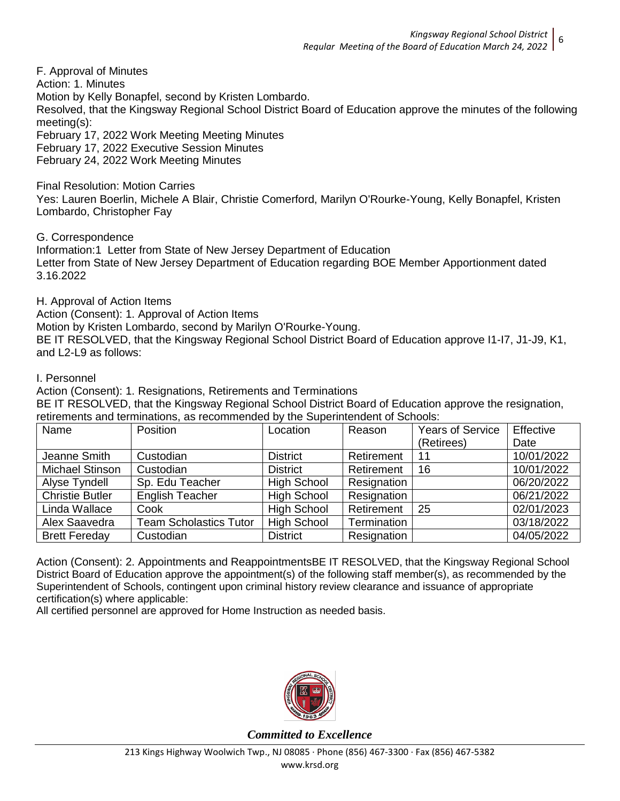F. Approval of Minutes Action: 1. Minutes Motion by Kelly Bonapfel, second by Kristen Lombardo. Resolved, that the Kingsway Regional School District Board of Education approve the minutes of the following meeting(s): February 17, 2022 Work Meeting Meeting Minutes February 17, 2022 Executive Session Minutes February 24, 2022 Work Meeting Minutes

Final Resolution: Motion Carries

Yes: Lauren Boerlin, Michele A Blair, Christie Comerford, Marilyn O'Rourke-Young, Kelly Bonapfel, Kristen Lombardo, Christopher Fay

G. Correspondence

Information:1 Letter from State of New Jersey Department of Education Letter from State of New Jersey Department of Education regarding BOE Member Apportionment dated 3.16.2022

H. Approval of Action Items

Action (Consent): 1. Approval of Action Items

Motion by Kristen Lombardo, second by Marilyn O'Rourke-Young.

BE IT RESOLVED, that the Kingsway Regional School District Board of Education approve I1-I7, J1-J9, K1, and L2-L9 as follows:

I. Personnel

Action (Consent): 1. Resignations, Retirements and Terminations

BE IT RESOLVED, that the Kingsway Regional School District Board of Education approve the resignation, retirements and terminations, as recommended by the Superintendent of Schools:

| Name                   | Position                      | Location           | Reason      | <b>Years of Service</b> | Effective  |
|------------------------|-------------------------------|--------------------|-------------|-------------------------|------------|
|                        |                               |                    |             | (Retirees)              | Date       |
| Jeanne Smith           | Custodian                     | <b>District</b>    | Retirement  | 11                      | 10/01/2022 |
| Michael Stinson        | Custodian                     | <b>District</b>    | Retirement  | 16                      | 10/01/2022 |
| Alyse Tyndell          | Sp. Edu Teacher               | <b>High School</b> | Resignation |                         | 06/20/2022 |
| <b>Christie Butler</b> | <b>English Teacher</b>        | <b>High School</b> | Resignation |                         | 06/21/2022 |
| Linda Wallace          | Cook                          | <b>High School</b> | Retirement  | 25                      | 02/01/2023 |
| Alex Saavedra          | <b>Team Scholastics Tutor</b> | <b>High School</b> | Termination |                         | 03/18/2022 |
| <b>Brett Fereday</b>   | Custodian                     | <b>District</b>    | Resignation |                         | 04/05/2022 |

Action (Consent): 2. Appointments and ReappointmentsBE IT RESOLVED, that the Kingsway Regional School District Board of Education approve the appointment(s) of the following staff member(s), as recommended by the Superintendent of Schools, contingent upon criminal history review clearance and issuance of appropriate certification(s) where applicable:

All certified personnel are approved for Home Instruction as needed basis.

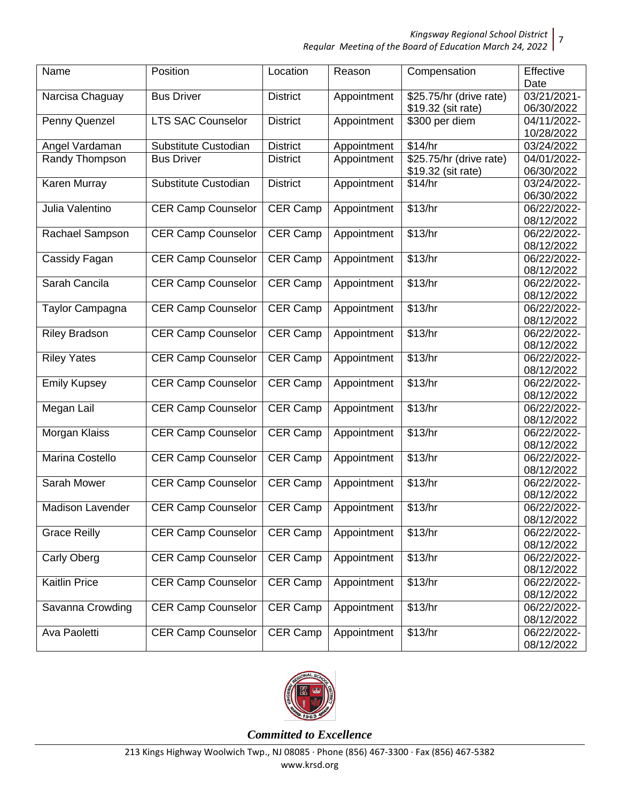*Kingsway Regional School District*

*Regular Meeting of the Board of Education March 24, 2022* 7

| Name                 | Position                  | Location        | Reason      | Compensation            | Effective<br>Date         |
|----------------------|---------------------------|-----------------|-------------|-------------------------|---------------------------|
| Narcisa Chaguay      | <b>Bus Driver</b>         | <b>District</b> | Appointment | \$25.75/hr (drive rate) | 03/21/2021-               |
|                      |                           |                 |             | \$19.32 (sit rate)      | 06/30/2022                |
| Penny Quenzel        | <b>LTS SAC Counselor</b>  | <b>District</b> | Appointment | \$300 per diem          | 04/11/2022-               |
|                      |                           |                 |             |                         | 10/28/2022                |
| Angel Vardaman       | Substitute Custodian      | <b>District</b> | Appointment | \$14/hr                 | 03/24/2022                |
| Randy Thompson       | <b>Bus Driver</b>         | <b>District</b> | Appointment | \$25.75/hr (drive rate) | 04/01/2022-               |
|                      |                           |                 |             | \$19.32 (sit rate)      | 06/30/2022                |
| Karen Murray         | Substitute Custodian      | <b>District</b> | Appointment | \$14/hr                 | 03/24/2022-               |
|                      |                           |                 |             |                         | 06/30/2022                |
| Julia Valentino      | <b>CER Camp Counselor</b> | CER Camp        | Appointment | \$13/hr                 | 06/22/2022-               |
|                      |                           |                 |             |                         | 08/12/2022                |
| Rachael Sampson      | <b>CER Camp Counselor</b> | CER Camp        | Appointment | \$13/hr                 | 06/22/2022-               |
|                      |                           |                 |             |                         | 08/12/2022                |
| Cassidy Fagan        | <b>CER Camp Counselor</b> | CER Camp        | Appointment | \$13/hr                 | 06/22/2022-               |
|                      |                           |                 |             |                         | 08/12/2022                |
| Sarah Cancila        | <b>CER Camp Counselor</b> | CER Camp        | Appointment | \$13/hr                 | 06/22/2022-               |
|                      |                           |                 |             |                         | 08/12/2022                |
| Taylor Campagna      | <b>CER Camp Counselor</b> | CER Camp        | Appointment | \$13/hr                 | 06/22/2022-               |
|                      |                           |                 |             |                         | 08/12/2022                |
| <b>Riley Bradson</b> | <b>CER Camp Counselor</b> | CER Camp        | Appointment | \$13/hr                 | 06/22/2022-               |
|                      |                           |                 |             | \$13/hr                 | 08/12/2022                |
| <b>Riley Yates</b>   | <b>CER Camp Counselor</b> | CER Camp        | Appointment |                         | 06/22/2022-<br>08/12/2022 |
| <b>Emily Kupsey</b>  | <b>CER Camp Counselor</b> | CER Camp        | Appointment | \$13/hr                 | 06/22/2022-               |
|                      |                           |                 |             |                         | 08/12/2022                |
| Megan Lail           | <b>CER Camp Counselor</b> | CER Camp        | Appointment | \$13/hr                 | 06/22/2022-               |
|                      |                           |                 |             |                         | 08/12/2022                |
| Morgan Klaiss        | <b>CER Camp Counselor</b> | CER Camp        | Appointment | \$13/hr                 | 06/22/2022-               |
|                      |                           |                 |             |                         | 08/12/2022                |
| Marina Costello      | <b>CER Camp Counselor</b> | CER Camp        | Appointment | \$13/hr                 | 06/22/2022-               |
|                      |                           |                 |             |                         | 08/12/2022                |
| Sarah Mower          | <b>CER Camp Counselor</b> | CER Camp        | Appointment | \$13/hr                 | 06/22/2022-               |
|                      |                           |                 |             |                         | 08/12/2022                |
| Madison Lavender     | <b>CER Camp Counselor</b> | CER Camp        | Appointment | \$13/hr                 | 06/22/2022-               |
|                      |                           |                 |             |                         | 08/12/2022                |
| <b>Grace Reilly</b>  | <b>CER Camp Counselor</b> | CER Camp        | Appointment | \$13/hr                 | 06/22/2022-               |
|                      |                           |                 |             |                         | 08/12/2022                |
| <b>Carly Oberg</b>   | <b>CER Camp Counselor</b> | CER Camp        | Appointment | \$13/hr                 | 06/22/2022-               |
|                      |                           |                 |             |                         | 08/12/2022                |
| Kaitlin Price        | <b>CER Camp Counselor</b> | CER Camp        | Appointment | \$13/hr                 | 06/22/2022-               |
|                      | <b>CER Camp Counselor</b> |                 |             | \$13/hr                 | 08/12/2022<br>06/22/2022- |
| Savanna Crowding     |                           | CER Camp        | Appointment |                         | 08/12/2022                |
| Ava Paoletti         | <b>CER Camp Counselor</b> | CER Camp        | Appointment | \$13/hr                 | 06/22/2022-               |
|                      |                           |                 |             |                         | 08/12/2022                |

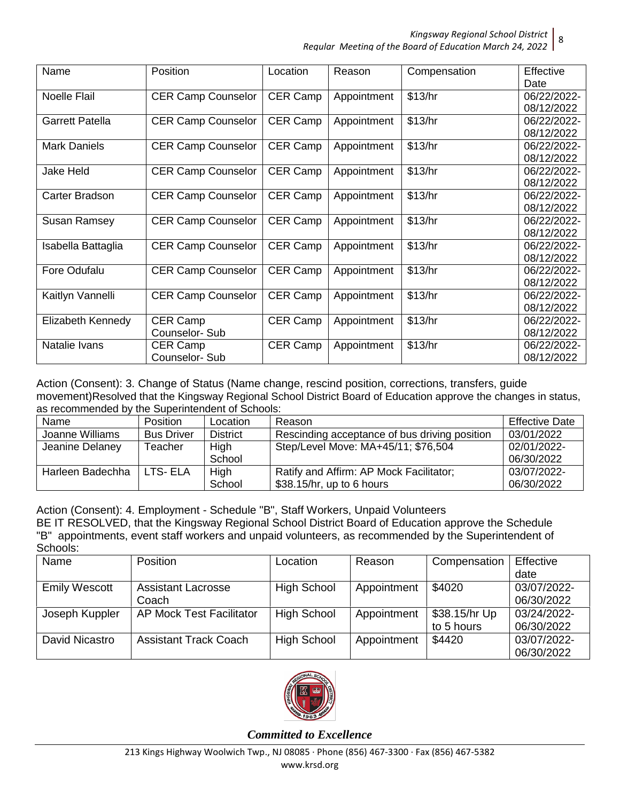8

| Name                   | Position                  | Location        | Reason      | Compensation | Effective   |
|------------------------|---------------------------|-----------------|-------------|--------------|-------------|
|                        |                           |                 |             |              | Date        |
| Noelle Flail           | <b>CER Camp Counselor</b> | <b>CER Camp</b> | Appointment | \$13/hr      | 06/22/2022- |
|                        |                           |                 |             |              | 08/12/2022  |
| <b>Garrett Patella</b> | <b>CER Camp Counselor</b> | <b>CER Camp</b> | Appointment | \$13/hr      | 06/22/2022- |
|                        |                           |                 |             |              | 08/12/2022  |
| <b>Mark Daniels</b>    | <b>CER Camp Counselor</b> | CER Camp        | Appointment | \$13/hr      | 06/22/2022- |
|                        |                           |                 |             |              | 08/12/2022  |
| Jake Held              | <b>CER Camp Counselor</b> | CER Camp        | Appointment | \$13/hr      | 06/22/2022- |
|                        |                           |                 |             |              | 08/12/2022  |
| Carter Bradson         | <b>CER Camp Counselor</b> | CER Camp        | Appointment | \$13/hr      | 06/22/2022- |
|                        |                           |                 |             |              | 08/12/2022  |
| <b>Susan Ramsey</b>    | <b>CER Camp Counselor</b> | <b>CER Camp</b> | Appointment | \$13/hr      | 06/22/2022- |
|                        |                           |                 |             |              | 08/12/2022  |
| Isabella Battaglia     | <b>CER Camp Counselor</b> | <b>CER Camp</b> | Appointment | \$13/hr      | 06/22/2022- |
|                        |                           |                 |             |              | 08/12/2022  |
| Fore Odufalu           | <b>CER Camp Counselor</b> | <b>CER Camp</b> | Appointment | \$13/hr      | 06/22/2022- |
|                        |                           |                 |             |              | 08/12/2022  |
| Kaitlyn Vannelli       | <b>CER Camp Counselor</b> | <b>CER Camp</b> | Appointment | \$13/hr      | 06/22/2022- |
|                        |                           |                 |             |              | 08/12/2022  |
| Elizabeth Kennedy      | CER Camp                  | <b>CER Camp</b> | Appointment | \$13/hr      | 06/22/2022- |
|                        | Counselor-Sub             |                 |             |              | 08/12/2022  |
| Natalie Ivans          | CER Camp                  | <b>CER Camp</b> | Appointment | \$13/hr      | 06/22/2022- |
|                        | Counselor-Sub             |                 |             |              | 08/12/2022  |

Action (Consent): 3. Change of Status (Name change, rescind position, corrections, transfers, guide movement)Resolved that the Kingsway Regional School District Board of Education approve the changes in status, as recommended by the Superintendent of Schools:

| Name             | Position          | Location        | Reason                                                                 | <b>Effective Date</b>     |
|------------------|-------------------|-----------------|------------------------------------------------------------------------|---------------------------|
| Joanne Williams  | <b>Bus Driver</b> | <b>District</b> | Rescinding acceptance of bus driving position                          | 03/01/2022                |
| Jeanine Delaney  | Teacher           | High<br>School  | Step/Level Move: MA+45/11; \$76,504                                    | 02/01/2022-<br>06/30/2022 |
| Harleen Badechha | LTS- ELA          | High<br>School  | Ratify and Affirm: AP Mock Facilitator;<br>$$38.15/hr$ , up to 6 hours | 03/07/2022-<br>06/30/2022 |

Action (Consent): 4. Employment - Schedule "B", Staff Workers, Unpaid Volunteers BE IT RESOLVED, that the Kingsway Regional School District Board of Education approve the Schedule "B" appointments, event staff workers and unpaid volunteers, as recommended by the Superintendent of Schools:

| uunuu.               |                                 |                    |             |               |             |  |  |  |
|----------------------|---------------------------------|--------------------|-------------|---------------|-------------|--|--|--|
| Name                 | Position                        | Location           | Reason      | Compensation  | Effective   |  |  |  |
|                      |                                 |                    |             |               | date        |  |  |  |
| <b>Emily Wescott</b> | <b>Assistant Lacrosse</b>       | <b>High School</b> | Appointment | \$4020        | 03/07/2022- |  |  |  |
|                      | Coach                           |                    |             |               | 06/30/2022  |  |  |  |
| Joseph Kuppler       | <b>AP Mock Test Facilitator</b> | <b>High School</b> | Appointment | \$38.15/hr Up | 03/24/2022- |  |  |  |
|                      |                                 |                    |             | to 5 hours    | 06/30/2022  |  |  |  |
| David Nicastro       | <b>Assistant Track Coach</b>    | <b>High School</b> | Appointment | \$4420        | 03/07/2022- |  |  |  |
|                      |                                 |                    |             |               | 06/30/2022  |  |  |  |

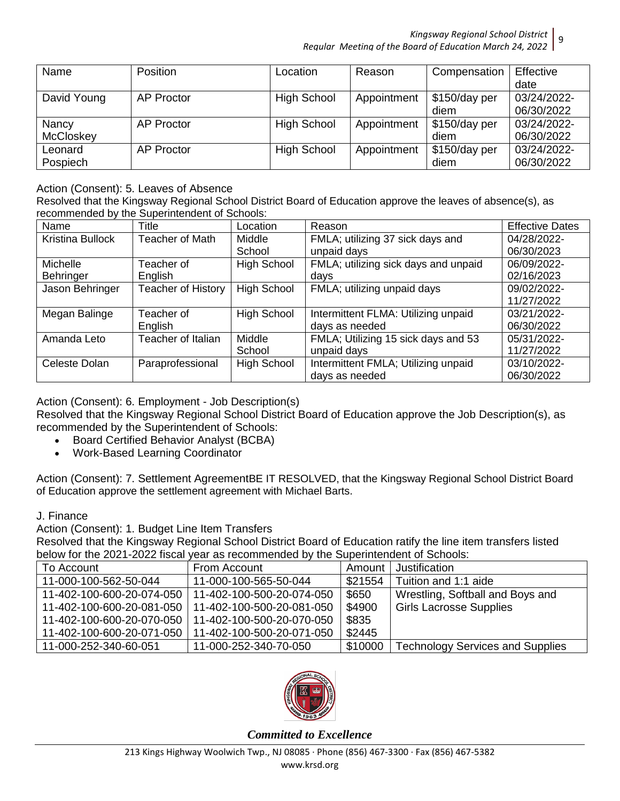*Kingsway Regional School District* 9

*Regular Meeting of the Board of Education March 24, 2022*

| Name        | <b>Position</b>   | Location           | Reason      | Compensation  | Effective   |
|-------------|-------------------|--------------------|-------------|---------------|-------------|
|             |                   |                    |             |               | date        |
| David Young | <b>AP Proctor</b> | <b>High School</b> | Appointment | \$150/day per | 03/24/2022- |
|             |                   |                    |             | diem          | 06/30/2022  |
| Nancy       | <b>AP Proctor</b> | <b>High School</b> | Appointment | \$150/day per | 03/24/2022- |
| McCloskey   |                   |                    |             | diem          | 06/30/2022  |
| Leonard     | <b>AP Proctor</b> | <b>High School</b> | Appointment | \$150/day per | 03/24/2022- |
| Pospiech    |                   |                    |             | diem          | 06/30/2022  |

Action (Consent): 5. Leaves of Absence

Resolved that the Kingsway Regional School District Board of Education approve the leaves of absence(s), as recommended by the Superintendent of Schools:

| Name             | <b>Title</b>       | Location           | Reason                               | <b>Effective Dates</b> |
|------------------|--------------------|--------------------|--------------------------------------|------------------------|
| Kristina Bullock | Teacher of Math    | Middle             | FMLA; utilizing 37 sick days and     | 04/28/2022-            |
|                  |                    | School             | unpaid days                          | 06/30/2023             |
| Michelle         | Teacher of         | <b>High School</b> | FMLA; utilizing sick days and unpaid | 06/09/2022-            |
| Behringer        | English            |                    | days                                 | 02/16/2023             |
| Jason Behringer  | Teacher of History | <b>High School</b> | FMLA; utilizing unpaid days          | 09/02/2022-            |
|                  |                    |                    |                                      | 11/27/2022             |
| Megan Balinge    | Teacher of         | <b>High School</b> | Intermittent FLMA: Utilizing unpaid  | 03/21/2022-            |
|                  | English            |                    | days as needed                       | 06/30/2022             |
| Amanda Leto      | Teacher of Italian | Middle             | FMLA; Utilizing 15 sick days and 53  | 05/31/2022-            |
|                  |                    | School             | unpaid days                          | 11/27/2022             |
| Celeste Dolan    | Paraprofessional   | <b>High School</b> | Intermittent FMLA; Utilizing unpaid  | 03/10/2022-            |
|                  |                    |                    | days as needed                       | 06/30/2022             |

Action (Consent): 6. Employment - Job Description(s)

Resolved that the Kingsway Regional School District Board of Education approve the Job Description(s), as recommended by the Superintendent of Schools:

- Board Certified Behavior Analyst (BCBA)
- Work-Based Learning Coordinator

Action (Consent): 7. Settlement AgreementBE IT RESOLVED, that the Kingsway Regional School District Board of Education approve the settlement agreement with Michael Barts.

#### J. Finance

Action (Consent): 1. Budget Line Item Transfers

Resolved that the Kingsway Regional School District Board of Education ratify the line item transfers listed below for the 2021-2022 fiscal year as recommended by the Superintendent of Schools:

| To Account                                            | From Account                                          | Amount  | Justification                           |
|-------------------------------------------------------|-------------------------------------------------------|---------|-----------------------------------------|
| 11-000-100-562-50-044                                 | 11-000-100-565-50-044                                 | \$21554 | Tuition and 1:1 aide                    |
|                                                       | 11-402-100-600-20-074-050   11-402-100-500-20-074-050 | \$650   | Wrestling, Softball and Boys and        |
| 11-402-100-600-20-081-050   11-402-100-500-20-081-050 |                                                       | \$4900  | <b>Girls Lacrosse Supplies</b>          |
| 11-402-100-600-20-070-050                             | 11-402-100-500-20-070-050                             | \$835   |                                         |
| 11-402-100-600-20-071-050   11-402-100-500-20-071-050 |                                                       | \$2445  |                                         |
| 11-000-252-340-60-051                                 | 11-000-252-340-70-050                                 | \$10000 | <b>Technology Services and Supplies</b> |

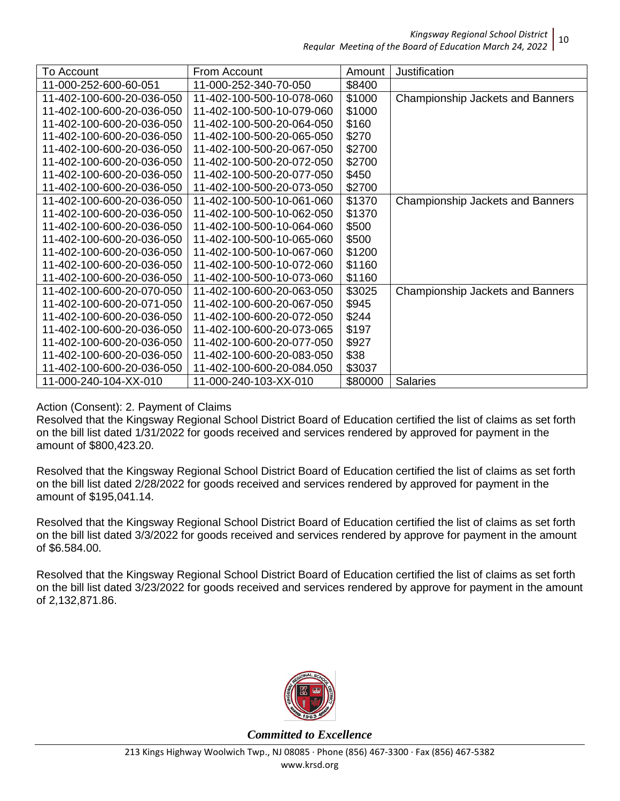| To Account                | From Account              | Amount  | Justification                           |
|---------------------------|---------------------------|---------|-----------------------------------------|
| 11-000-252-600-60-051     | 11-000-252-340-70-050     | \$8400  |                                         |
| 11-402-100-600-20-036-050 | 11-402-100-500-10-078-060 | \$1000  | <b>Championship Jackets and Banners</b> |
| 11-402-100-600-20-036-050 | 11-402-100-500-10-079-060 | \$1000  |                                         |
| 11-402-100-600-20-036-050 | 11-402-100-500-20-064-050 | \$160   |                                         |
| 11-402-100-600-20-036-050 | 11-402-100-500-20-065-050 | \$270   |                                         |
| 11-402-100-600-20-036-050 | 11-402-100-500-20-067-050 | \$2700  |                                         |
| 11-402-100-600-20-036-050 | 11-402-100-500-20-072-050 | \$2700  |                                         |
| 11-402-100-600-20-036-050 | 11-402-100-500-20-077-050 | \$450   |                                         |
| 11-402-100-600-20-036-050 | 11-402-100-500-20-073-050 | \$2700  |                                         |
| 11-402-100-600-20-036-050 | 11-402-100-500-10-061-060 | \$1370  | Championship Jackets and Banners        |
| 11-402-100-600-20-036-050 | 11-402-100-500-10-062-050 | \$1370  |                                         |
| 11-402-100-600-20-036-050 | 11-402-100-500-10-064-060 | \$500   |                                         |
| 11-402-100-600-20-036-050 | 11-402-100-500-10-065-060 | \$500   |                                         |
| 11-402-100-600-20-036-050 | 11-402-100-500-10-067-060 | \$1200  |                                         |
| 11-402-100-600-20-036-050 | 11-402-100-500-10-072-060 | \$1160  |                                         |
| 11-402-100-600-20-036-050 | 11-402-100-500-10-073-060 | \$1160  |                                         |
| 11-402-100-600-20-070-050 | 11-402-100-600-20-063-050 | \$3025  | Championship Jackets and Banners        |
| 11-402-100-600-20-071-050 | 11-402-100-600-20-067-050 | \$945   |                                         |
| 11-402-100-600-20-036-050 | 11-402-100-600-20-072-050 | \$244   |                                         |
| 11-402-100-600-20-036-050 | 11-402-100-600-20-073-065 | \$197   |                                         |
| 11-402-100-600-20-036-050 | 11-402-100-600-20-077-050 | \$927   |                                         |
| 11-402-100-600-20-036-050 | 11-402-100-600-20-083-050 | \$38    |                                         |
| 11-402-100-600-20-036-050 | 11-402-100-600-20-084.050 | \$3037  |                                         |
| 11-000-240-104-XX-010     | 11-000-240-103-XX-010     | \$80000 | <b>Salaries</b>                         |

Action (Consent): 2. Payment of Claims

Resolved that the Kingsway Regional School District Board of Education certified the list of claims as set forth on the bill list dated 1/31/2022 for goods received and services rendered by approved for payment in the amount of \$800,423.20.

Resolved that the Kingsway Regional School District Board of Education certified the list of claims as set forth on the bill list dated 2/28/2022 for goods received and services rendered by approved for payment in the amount of \$195,041.14.

Resolved that the Kingsway Regional School District Board of Education certified the list of claims as set forth on the bill list dated 3/3/2022 for goods received and services rendered by approve for payment in the amount of \$6.584.00.

Resolved that the Kingsway Regional School District Board of Education certified the list of claims as set forth on the bill list dated 3/23/2022 for goods received and services rendered by approve for payment in the amount of 2,132,871.86.



*Committed to Excellence*

10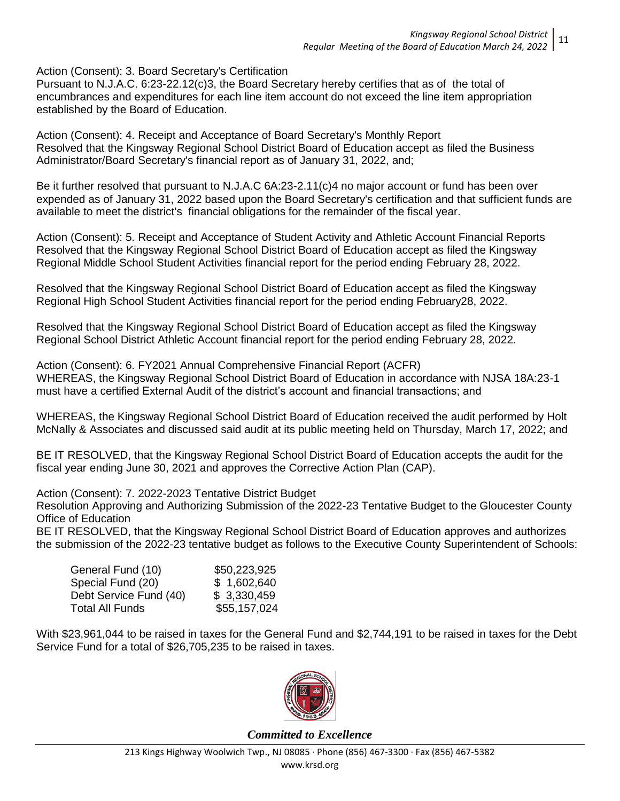Action (Consent): 3. Board Secretary's Certification

Pursuant to N.J.A.C. 6:23-22.12(c)3, the Board Secretary hereby certifies that as of the total of encumbrances and expenditures for each line item account do not exceed the line item appropriation established by the Board of Education.

Action (Consent): 4. Receipt and Acceptance of Board Secretary's Monthly Report Resolved that the Kingsway Regional School District Board of Education accept as filed the Business Administrator/Board Secretary's financial report as of January 31, 2022, and;

Be it further resolved that pursuant to N.J.A.C 6A:23-2.11(c)4 no major account or fund has been over expended as of January 31, 2022 based upon the Board Secretary's certification and that sufficient funds are available to meet the district's financial obligations for the remainder of the fiscal year.

Action (Consent): 5. Receipt and Acceptance of Student Activity and Athletic Account Financial Reports Resolved that the Kingsway Regional School District Board of Education accept as filed the Kingsway Regional Middle School Student Activities financial report for the period ending February 28, 2022.

Resolved that the Kingsway Regional School District Board of Education accept as filed the Kingsway Regional High School Student Activities financial report for the period ending February28, 2022.

Resolved that the Kingsway Regional School District Board of Education accept as filed the Kingsway Regional School District Athletic Account financial report for the period ending February 28, 2022.

Action (Consent): 6. FY2021 Annual Comprehensive Financial Report (ACFR) WHEREAS, the Kingsway Regional School District Board of Education in accordance with NJSA 18A:23-1 must have a certified External Audit of the district's account and financial transactions; and

WHEREAS, the Kingsway Regional School District Board of Education received the audit performed by Holt McNally & Associates and discussed said audit at its public meeting held on Thursday, March 17, 2022; and

BE IT RESOLVED, that the Kingsway Regional School District Board of Education accepts the audit for the fiscal year ending June 30, 2021 and approves the Corrective Action Plan (CAP).

Action (Consent): 7. 2022-2023 Tentative District Budget

Resolution Approving and Authorizing Submission of the 2022-23 Tentative Budget to the Gloucester County Office of Education

BE IT RESOLVED, that the Kingsway Regional School District Board of Education approves and authorizes the submission of the 2022-23 tentative budget as follows to the Executive County Superintendent of Schools:

| General Fund (10)      | \$50,223,925 |
|------------------------|--------------|
| Special Fund (20)      | \$1,602,640  |
| Debt Service Fund (40) | \$3,330,459  |
| Total All Funds        | \$55,157,024 |

With \$23,961,044 to be raised in taxes for the General Fund and \$2,744,191 to be raised in taxes for the Debt Service Fund for a total of \$26,705,235 to be raised in taxes.

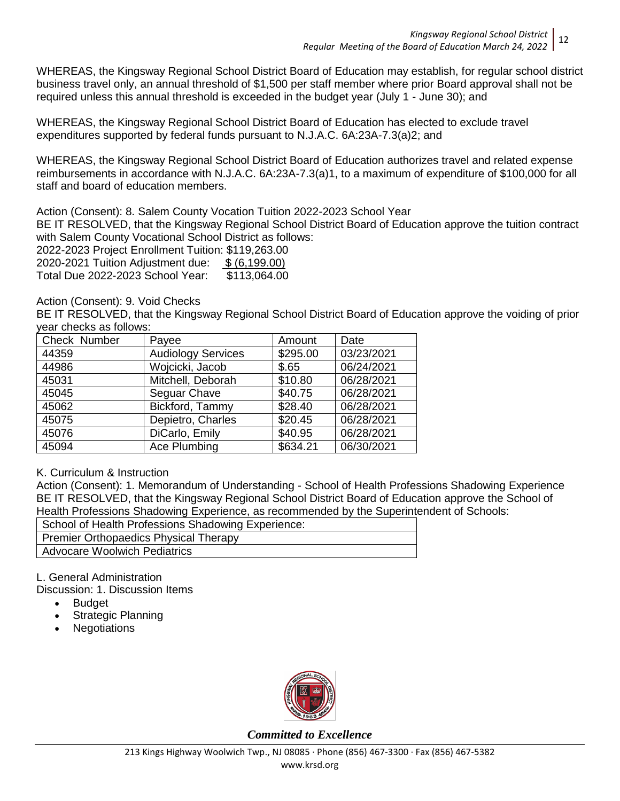WHEREAS, the Kingsway Regional School District Board of Education may establish, for regular school district business travel only, an annual threshold of \$1,500 per staff member where prior Board approval shall not be required unless this annual threshold is exceeded in the budget year (July 1 - June 30); and

WHEREAS, the Kingsway Regional School District Board of Education has elected to exclude travel expenditures supported by federal funds pursuant to N.J.A.C. 6A:23A-7.3(a)2; and

WHEREAS, the Kingsway Regional School District Board of Education authorizes travel and related expense reimbursements in accordance with N.J.A.C. 6A:23A-7.3(a)1, to a maximum of expenditure of \$100,000 for all staff and board of education members.

Action (Consent): 8. Salem County Vocation Tuition 2022-2023 School Year

BE IT RESOLVED, that the Kingsway Regional School District Board of Education approve the tuition contract with Salem County Vocational School District as follows:

2022-2023 Project Enrollment Tuition: \$119,263.00

2020-2021 Tuition Adjustment due: \$ (6,199.00)

Total Due 2022-2023 School Year: \$113,064.00

### Action (Consent): 9. Void Checks

BE IT RESOLVED, that the Kingsway Regional School District Board of Education approve the voiding of prior year checks as follows:

| Check Number | Payee                     | Amount   | Date       |
|--------------|---------------------------|----------|------------|
| 44359        | <b>Audiology Services</b> | \$295.00 | 03/23/2021 |
| 44986        | Wojcicki, Jacob           | \$.65    | 06/24/2021 |
| 45031        | Mitchell, Deborah         | \$10.80  | 06/28/2021 |
| 45045        | Seguar Chave              | \$40.75  | 06/28/2021 |
| 45062        | Bickford, Tammy           | \$28.40  | 06/28/2021 |
| 45075        | Depietro, Charles         | \$20.45  | 06/28/2021 |
| 45076        | DiCarlo, Emily            | \$40.95  | 06/28/2021 |
| 45094        | Ace Plumbing              | \$634.21 | 06/30/2021 |

## K. Curriculum & Instruction

Action (Consent): 1. Memorandum of Understanding - School of Health Professions Shadowing Experience BE IT RESOLVED, that the Kingsway Regional School District Board of Education approve the School of Health Professions Shadowing Experience, as recommended by the Superintendent of Schools:

School of Health Professions Shadowing Experience: Premier Orthopaedics Physical Therapy Advocare Woolwich Pediatrics

L. General Administration

Discussion: 1. Discussion Items

- **Budget**
- Strategic Planning
- **Negotiations**

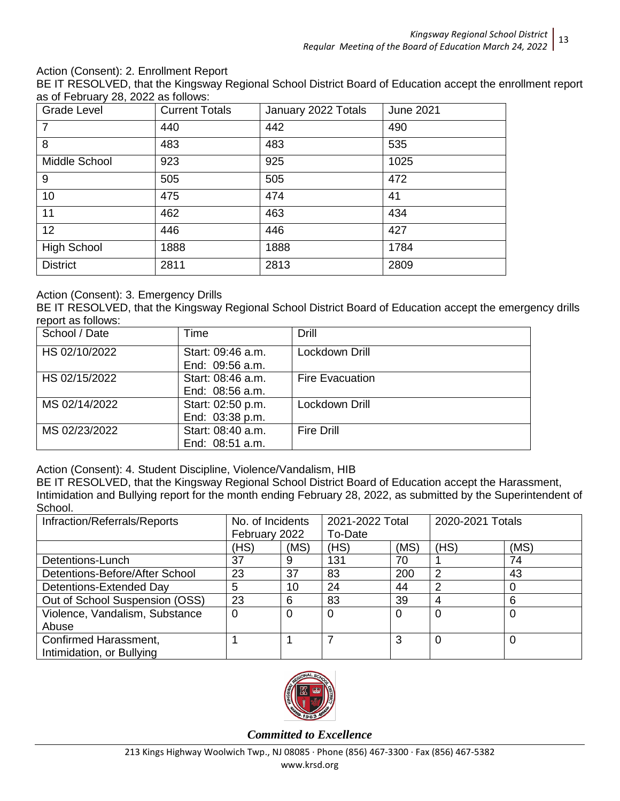### Action (Consent): 2. Enrollment Report

BE IT RESOLVED, that the Kingsway Regional School District Board of Education accept the enrollment report as of February 28, 2022 as follows:

| Grade Level        | <b>Current Totals</b> | January 2022 Totals | <b>June 2021</b> |
|--------------------|-----------------------|---------------------|------------------|
| $\overline{7}$     | 440                   | 442                 | 490              |
| 8                  | 483                   | 483                 | 535              |
| Middle School      | 923                   | 925                 | 1025             |
| 9                  | 505                   | 505                 | 472              |
| 10                 | 475                   | 474                 | 41               |
| 11                 | 462                   | 463                 | 434              |
| 12                 | 446                   | 446                 | 427              |
| <b>High School</b> | 1888                  | 1888                | 1784             |
| <b>District</b>    | 2811                  | 2813                | 2809             |

## Action (Consent): 3. Emergency Drills

BE IT RESOLVED, that the Kingsway Regional School District Board of Education accept the emergency drills report as follows:

| School / Date | Time                                 | Drill                  |
|---------------|--------------------------------------|------------------------|
| HS 02/10/2022 | Start: 09:46 a.m.<br>End: 09:56 a.m. | Lockdown Drill         |
| HS 02/15/2022 | Start: 08:46 a.m.<br>End: 08:56 a.m. | <b>Fire Evacuation</b> |
| MS 02/14/2022 | Start: 02:50 p.m.<br>End: 03:38 p.m. | Lockdown Drill         |
| MS 02/23/2022 | Start: 08:40 a.m.<br>End: 08:51 a.m. | <b>Fire Drill</b>      |

Action (Consent): 4. Student Discipline, Violence/Vandalism, HIB

BE IT RESOLVED, that the Kingsway Regional School District Board of Education accept the Harassment, Intimidation and Bullying report for the month ending February 28, 2022, as submitted by the Superintendent of School.

| Infraction/Referrals/Reports   | No. of Incidents |      | 2021-2022 Total |      | 2020-2021 Totals |      |
|--------------------------------|------------------|------|-----------------|------|------------------|------|
|                                | February 2022    |      | To-Date         |      |                  |      |
|                                | (HS)             | (MS) | (HS)            | (MS) | (HS)             | (MS) |
| Detentions-Lunch               | 37               | 9    | 131             | 70   |                  | 74   |
| Detentions-Before/After School | 23               | 37   | 83              | 200  | 2                | 43   |
| Detentions-Extended Day        | 5                | 10   | 24              | 44   | 2                |      |
| Out of School Suspension (OSS) | 23               | 6    | 83              | 39   | 4                | 6    |
| Violence, Vandalism, Substance | 0                | 0    | $\overline{0}$  | 0    |                  | 0    |
| Abuse                          |                  |      |                 |      |                  |      |
| Confirmed Harassment,          |                  |      |                 | 3    |                  | 0    |
| Intimidation, or Bullying      |                  |      |                 |      |                  |      |

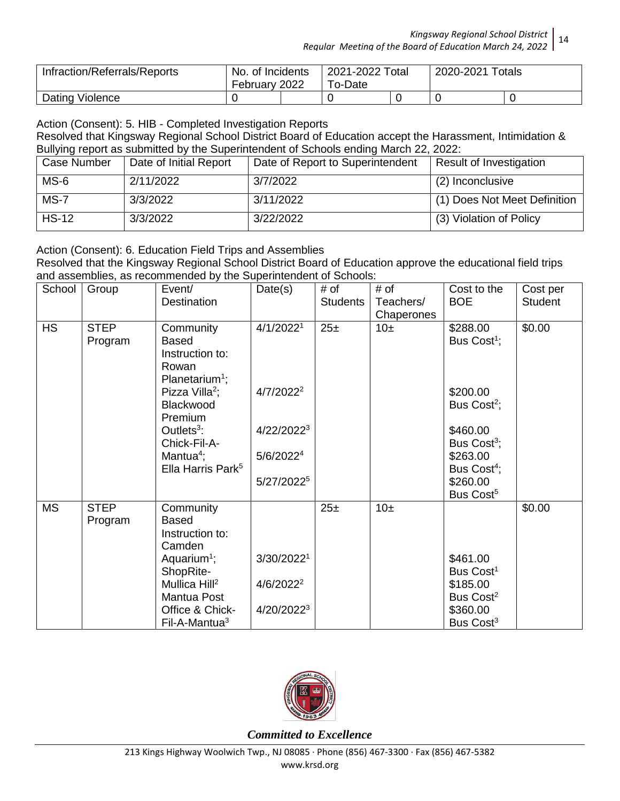| Infraction/Referrals/Reports | No. of Incidents<br>February 2022 | 2021-2022 Total<br>To-Date |  | 2020-2021 Totals |  |
|------------------------------|-----------------------------------|----------------------------|--|------------------|--|
| Dating Violence              |                                   |                            |  |                  |  |

Action (Consent): 5. HIB - Completed Investigation Reports

Resolved that Kingsway Regional School District Board of Education accept the Harassment, Intimidation & Bullying report as submitted by the Superintendent of Schools ending March 22, 2022:

| Case Number  | Date of Initial Report | Date of Report to Superintendent | Result of Investigation      |
|--------------|------------------------|----------------------------------|------------------------------|
| MS-6         | 2/11/2022              | 3/7/2022                         | (2) Inconclusive             |
| $MS-7$       | 3/3/2022               | 3/11/2022                        | (1) Does Not Meet Definition |
| <b>HS-12</b> | 3/3/2022               | 3/22/2022                        | (3) Violation of Policy      |

Action (Consent): 6. Education Field Trips and Assemblies

Resolved that the Kingsway Regional School District Board of Education approve the educational field trips and assemblies, as recommended by the Superintendent of Schools:

| School    | Group       | Event/                        | Date(s)                | # of            | # of       | Cost to the             | Cost per       |
|-----------|-------------|-------------------------------|------------------------|-----------------|------------|-------------------------|----------------|
|           |             | Destination                   |                        | <b>Students</b> | Teachers/  | <b>BOE</b>              | <b>Student</b> |
|           |             |                               |                        |                 | Chaperones |                         |                |
| <b>HS</b> | <b>STEP</b> | Community                     | 4/1/2022 <sup>1</sup>  | 25 <sub>±</sub> | $10\pm$    | \$288.00                | \$0.00         |
|           | Program     | <b>Based</b>                  |                        |                 |            | Bus Cost <sup>1</sup> ; |                |
|           |             | Instruction to:               |                        |                 |            |                         |                |
|           |             | Rowan                         |                        |                 |            |                         |                |
|           |             | Planetarium <sup>1</sup> ;    |                        |                 |            |                         |                |
|           |             | Pizza Villa <sup>2</sup> ;    | $4/7/2022^2$           |                 |            | \$200.00                |                |
|           |             | Blackwood<br>Premium          |                        |                 |            | Bus Cost <sup>2</sup> ; |                |
|           |             | Outlets $3$ :                 | 4/22/20223             |                 |            | \$460.00                |                |
|           |             | Chick-Fil-A-                  |                        |                 |            | Bus Cost <sup>3</sup> ; |                |
|           |             | Mantua <sup>4</sup> ;         | 5/6/2022 <sup>4</sup>  |                 |            | \$263.00                |                |
|           |             | Ella Harris Park <sup>5</sup> |                        |                 |            | Bus Cost <sup>4</sup> ; |                |
|           |             |                               | 5/27/2022 <sup>5</sup> |                 |            | \$260.00                |                |
|           |             |                               |                        |                 |            | Bus Cost <sup>5</sup>   |                |
| <b>MS</b> | <b>STEP</b> | Community                     |                        | 25 <sub>±</sub> | 10±        |                         | \$0.00         |
|           | Program     | <b>Based</b>                  |                        |                 |            |                         |                |
|           |             | Instruction to:               |                        |                 |            |                         |                |
|           |             | Camden                        |                        |                 |            |                         |                |
|           |             | Aquarium <sup>1</sup> ;       | 3/30/20221             |                 |            | \$461.00                |                |
|           |             | ShopRite-                     |                        |                 |            | Bus Cost <sup>1</sup>   |                |
|           |             | Mullica Hill <sup>2</sup>     | $4/6/2022^2$           |                 |            | \$185.00                |                |
|           |             | Mantua Post                   |                        |                 |            | Bus Cost <sup>2</sup>   |                |
|           |             | Office & Chick-               | 4/20/2022 <sup>3</sup> |                 |            | \$360.00                |                |
|           |             | Fil-A-Mantua <sup>3</sup>     |                        |                 |            | Bus Cost <sup>3</sup>   |                |

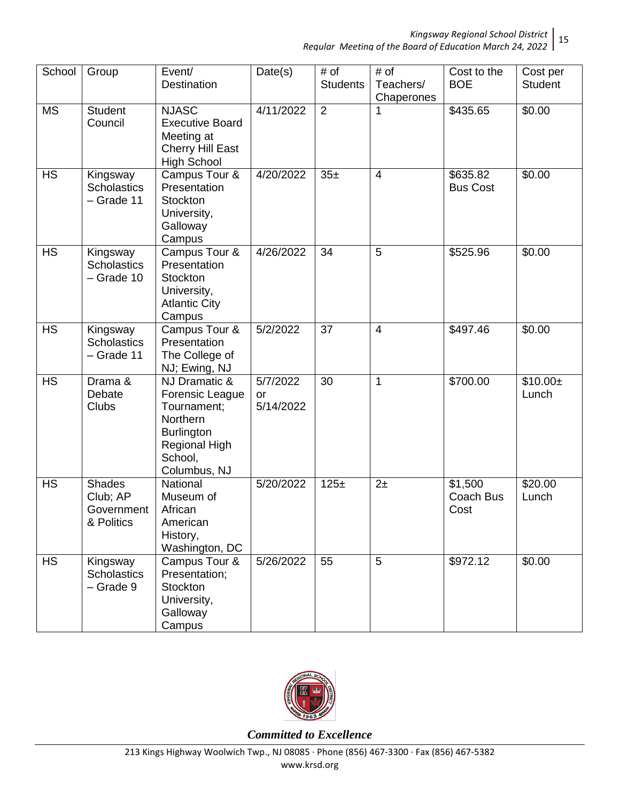| School                   | Group                                                 | Event/<br>Destination                                                                                                               | Date(s)                            | # of<br><b>Students</b> | # of<br>Teachers/<br>Chaperones | Cost to the<br><b>BOE</b>    | Cost per<br><b>Student</b> |
|--------------------------|-------------------------------------------------------|-------------------------------------------------------------------------------------------------------------------------------------|------------------------------------|-------------------------|---------------------------------|------------------------------|----------------------------|
| <b>MS</b>                | <b>Student</b><br>Council                             | <b>NJASC</b><br><b>Executive Board</b><br>Meeting at<br>Cherry Hill East<br><b>High School</b>                                      | 4/11/2022                          | $\overline{2}$          | 1                               | \$435.65                     | $\sqrt{$0.00}$             |
| $\overline{\mathsf{HS}}$ | Kingsway<br><b>Scholastics</b><br>- Grade 11          | Campus Tour &<br>Presentation<br>Stockton<br>University,<br>Galloway<br>Campus                                                      | 4/20/2022                          | 35±                     | $\overline{4}$                  | \$635.82<br><b>Bus Cost</b>  | \$0.00                     |
| <b>HS</b>                | Kingsway<br><b>Scholastics</b><br>- Grade 10          | Campus Tour &<br>Presentation<br>Stockton<br>University,<br><b>Atlantic City</b><br>Campus                                          | 4/26/2022                          | 34                      | 5                               | \$525.96                     | \$0.00                     |
| <b>HS</b>                | Kingsway<br><b>Scholastics</b><br>- Grade 11          | Campus Tour &<br>Presentation<br>The College of<br>NJ; Ewing, NJ                                                                    | 5/2/2022                           | 37                      | $\overline{4}$                  | \$497.46                     | \$0.00                     |
| <b>HS</b>                | Drama &<br>Debate<br><b>Clubs</b>                     | NJ Dramatic &<br>Forensic League<br>Tournament;<br>Northern<br><b>Burlington</b><br><b>Regional High</b><br>School,<br>Columbus, NJ | 5/7/2022<br><b>or</b><br>5/14/2022 | 30                      | $\mathbf{1}$                    | \$700.00                     | $$10.00 \pm$<br>Lunch      |
| <b>HS</b>                | <b>Shades</b><br>Club; AP<br>Government<br>& Politics | National<br>Museum of<br>African<br>American<br>History,<br>Washington, DC                                                          | 5/20/2022                          | 125±                    | 2 <sub>±</sub>                  | \$1,500<br>Coach Bus<br>Cost | \$20.00<br>Lunch           |
| <b>HS</b>                | Kingsway<br><b>Scholastics</b><br>- Grade 9           | Campus Tour &<br>Presentation;<br>Stockton<br>University,<br>Galloway<br>Campus                                                     | 5/26/2022                          | 55                      | 5                               | \$972.12                     | \$0.00                     |

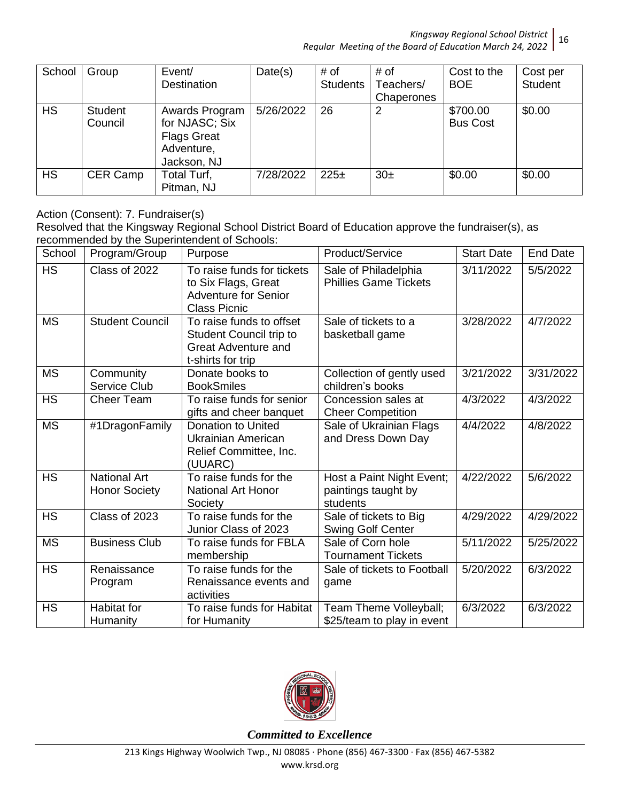| School    | Group              | Event/<br><b>Destination</b>                                                        | Date(s)   | # of<br><b>Students</b> | # of<br>Teachers/<br>Chaperones | Cost to the<br><b>BOE</b>   | Cost per<br><b>Student</b> |
|-----------|--------------------|-------------------------------------------------------------------------------------|-----------|-------------------------|---------------------------------|-----------------------------|----------------------------|
| <b>HS</b> | Student<br>Council | Awards Program<br>for NJASC; Six<br><b>Flags Great</b><br>Adventure,<br>Jackson, NJ | 5/26/2022 | 26                      | 2                               | \$700.00<br><b>Bus Cost</b> | \$0.00                     |
| <b>HS</b> | CER Camp           | Total Turf,<br>Pitman, NJ                                                           | 7/28/2022 | 225±                    | 30 <sub>±</sub>                 | \$0.00                      | \$0.00                     |

Action (Consent): 7. Fundraiser(s)

Resolved that the Kingsway Regional School District Board of Education approve the fundraiser(s), as recommended by the Superintendent of Schools:

| School                 | Program/Group                               | Purpose                                                                                                 | Product/Service                                              | <b>Start Date</b> | <b>End Date</b> |
|------------------------|---------------------------------------------|---------------------------------------------------------------------------------------------------------|--------------------------------------------------------------|-------------------|-----------------|
| <b>HS</b>              | Class of 2022                               | To raise funds for tickets<br>to Six Flags, Great<br><b>Adventure for Senior</b><br><b>Class Picnic</b> | Sale of Philadelphia<br><b>Phillies Game Tickets</b>         | 3/11/2022         | 5/5/2022        |
| <b>MS</b>              | <b>Student Council</b>                      | To raise funds to offset<br>Student Council trip to<br><b>Great Adventure and</b><br>t-shirts for trip  | Sale of tickets to a<br>basketball game                      | 3/28/2022         | 4/7/2022        |
| <b>MS</b>              | Community<br>Service Club                   | Donate books to<br><b>BookSmiles</b>                                                                    | Collection of gently used<br>children's books                | 3/21/2022         | 3/31/2022       |
| <b>HS</b>              | <b>Cheer Team</b>                           | To raise funds for senior<br>gifts and cheer banquet                                                    | Concession sales at<br><b>Cheer Competition</b>              | 4/3/2022          | 4/3/2022        |
| <b>MS</b>              | #1DragonFamily                              | Donation to United<br>Ukrainian American<br>Relief Committee, Inc.<br>(UUARC)                           | Sale of Ukrainian Flags<br>and Dress Down Day                | 4/4/2022          | 4/8/2022        |
| <b>HS</b>              | <b>National Art</b><br><b>Honor Society</b> | To raise funds for the<br><b>National Art Honor</b><br>Society                                          | Host a Paint Night Event;<br>paintings taught by<br>students | 4/22/2022         | 5/6/2022        |
| <b>HS</b>              | Class of 2023                               | To raise funds for the<br>Junior Class of 2023                                                          | Sale of tickets to Big<br><b>Swing Golf Center</b>           | 4/29/2022         | 4/29/2022       |
| $\overline{\text{MS}}$ | <b>Business Club</b>                        | To raise funds for FBLA<br>membership                                                                   | Sale of Corn hole<br><b>Tournament Tickets</b>               | 5/11/2022         | 5/25/2022       |
| <b>HS</b>              | Renaissance<br>Program                      | To raise funds for the<br>Renaissance events and<br>activities                                          | Sale of tickets to Football<br>game                          | 5/20/2022         | 6/3/2022        |
| <b>HS</b>              | <b>Habitat for</b><br>Humanity              | To raise funds for Habitat<br>for Humanity                                                              | Team Theme Volleyball;<br>\$25/team to play in event         | 6/3/2022          | 6/3/2022        |